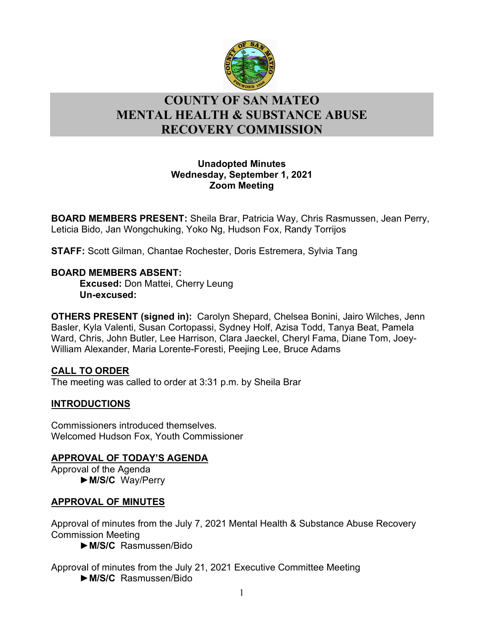

# l **COUNTY OF SAN MATEO MENTAL HEALTH & SUBSTANCE ABUSE RECOVERY COMMISSION**

## **Unadopted Minutes Wednesday, September 1, 2021 Zoom Meeting**

**BOARD MEMBERS PRESENT:** Sheila Brar, Patricia Way, Chris Rasmussen, Jean Perry, Leticia Bido, Jan Wongchuking, Yoko Ng, Hudson Fox, Randy Torrijos

**STAFF:** Scott Gilman, Chantae Rochester, Doris Estremera, Sylvia Tang

## **BOARD MEMBERS ABSENT:**

**Excused:** Don Mattei, Cherry Leung **Un-excused:** 

**OTHERS PRESENT (signed in):** Carolyn Shepard, Chelsea Bonini, Jairo Wilches, Jenn Basler, Kyla Valenti, Susan Cortopassi, Sydney Holf, Azisa Todd, Tanya Beat, Pamela Ward, Chris, John Butler, Lee Harrison, Clara Jaeckel, Cheryl Fama, Diane Tom, Joey-William Alexander, Maria Lorente-Foresti, Peejing Lee, Bruce Adams

# **CALL TO ORDER**

The meeting was called to order at 3:31 p.m. by Sheila Brar

# **INTRODUCTIONS**

Commissioners introduced themselves. Welcomed Hudson Fox, Youth Commissioner

# **APPROVAL OF TODAY'S AGENDA**

Approval of the Agenda ►**M/S/C** Way/Perry

# **APPROVAL OF MINUTES**

Approval of minutes from the July 7, 2021 Mental Health & Substance Abuse Recovery Commission Meeting

►**M/S/C** Rasmussen/Bido

Approval of minutes from the July 21, 2021 Executive Committee Meeting ►**M/S/C** Rasmussen/Bido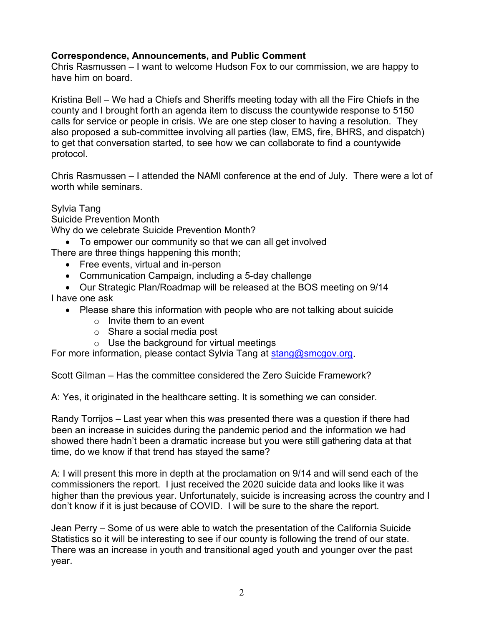## **Correspondence, Announcements, and Public Comment**

Chris Rasmussen – I want to welcome Hudson Fox to our commission, we are happy to have him on board.

Kristina Bell – We had a Chiefs and Sheriffs meeting today with all the Fire Chiefs in the county and I brought forth an agenda item to discuss the countywide response to 5150 calls for service or people in crisis. We are one step closer to having a resolution. They also proposed a sub-committee involving all parties (law, EMS, fire, BHRS, and dispatch) to get that conversation started, to see how we can collaborate to find a countywide protocol.

Chris Rasmussen – I attended the NAMI conference at the end of July. There were a lot of worth while seminars.

Sylvia Tang

Suicide Prevention Month

Why do we celebrate Suicide Prevention Month?

• To empower our community so that we can all get involved

There are three things happening this month;

- Free events, virtual and in-person
- Communication Campaign, including a 5-day challenge
- Our Strategic Plan/Roadmap will be released at the BOS meeting on 9/14

I have one ask

- Please share this information with people who are not talking about suicide
	- $\circ$  Invite them to an event
	- o Share a social media post
	- o Use the background for virtual meetings

For more information, please contact Sylvia Tang at [stang@smcgov.org.](mailto:stang@smcgov.org)

Scott Gilman – Has the committee considered the Zero Suicide Framework?

A: Yes, it originated in the healthcare setting. It is something we can consider.

Randy Torrijos – Last year when this was presented there was a question if there had been an increase in suicides during the pandemic period and the information we had showed there hadn't been a dramatic increase but you were still gathering data at that time, do we know if that trend has stayed the same?

A: I will present this more in depth at the proclamation on 9/14 and will send each of the commissioners the report. I just received the 2020 suicide data and looks like it was higher than the previous year. Unfortunately, suicide is increasing across the country and I don't know if it is just because of COVID. I will be sure to the share the report.

Jean Perry – Some of us were able to watch the presentation of the California Suicide Statistics so it will be interesting to see if our county is following the trend of our state. There was an increase in youth and transitional aged youth and younger over the past year.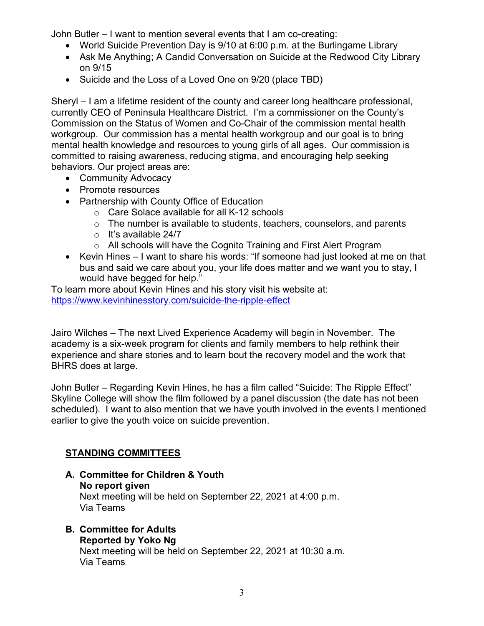John Butler – I want to mention several events that I am co-creating:

- World Suicide Prevention Day is 9/10 at 6:00 p.m. at the Burlingame Library
- Ask Me Anything; A Candid Conversation on Suicide at the Redwood City Library on 9/15
- Suicide and the Loss of a Loved One on 9/20 (place TBD)

Sheryl – I am a lifetime resident of the county and career long healthcare professional, currently CEO of Peninsula Healthcare District. I'm a commissioner on the County's Commission on the Status of Women and Co-Chair of the commission mental health workgroup. Our commission has a mental health workgroup and our goal is to bring mental health knowledge and resources to young girls of all ages. Our commission is committed to raising awareness, reducing stigma, and encouraging help seeking behaviors. Our project areas are:

- Community Advocacy
- Promote resources
- Partnership with County Office of Education
	- o Care Solace available for all K-12 schools
	- $\circ$  The number is available to students, teachers, counselors, and parents
	- $\circ$  It's available 24/7
	- o All schools will have the Cognito Training and First Alert Program
- Kevin Hines I want to share his words: "If someone had just looked at me on that bus and said we care about you, your life does matter and we want you to stay, I would have begged for help."

To learn more about Kevin Hines and his story visit his website at: <https://www.kevinhinesstory.com/suicide-the-ripple-effect>

Jairo Wilches – The next Lived Experience Academy will begin in November. The academy is a six-week program for clients and family members to help rethink their experience and share stories and to learn bout the recovery model and the work that BHRS does at large.

John Butler – Regarding Kevin Hines, he has a film called "Suicide: The Ripple Effect" Skyline College will show the film followed by a panel discussion (the date has not been scheduled). I want to also mention that we have youth involved in the events I mentioned earlier to give the youth voice on suicide prevention.

# **STANDING COMMITTEES**

# **A. Committee for Children & Youth**

**No report given**

Next meeting will be held on September 22, 2021 at 4:00 p.m. Via Teams

#### **B. Committee for Adults Reported by Yoko Ng**

Next meeting will be held on September 22, 2021 at 10:30 a.m. Via Teams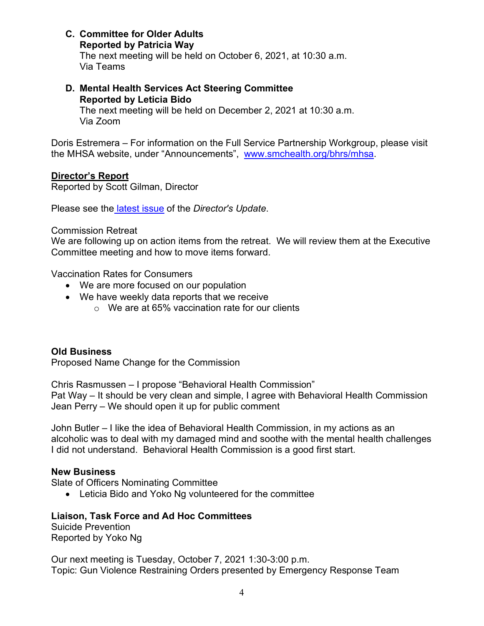**C. Committee for Older Adults**

**Reported by Patricia Way**

The next meeting will be held on October 6, 2021, at 10:30 a.m. Via Teams

**D. Mental Health Services Act Steering Committee Reported by Leticia Bido**

The next meeting will be held on December 2, 2021 at 10:30 a.m. Via Zoom

Doris Estremera – For information on the Full Service Partnership Workgroup, please visit the MHSA website, under "Announcements", [www.smchealth.org/bhrs/mhsa.](http://www.smchealth.org/bhrs/mhsa)

## **Director's Report**

Reported by Scott Gilman, Director

Please see the [latest issue](https://www.smchealth.org/sites/main/files/file-attachments/directors_update_202109.pdf?1629931171) of the *Director's Update*.

#### Commission Retreat

We are following up on action items from the retreat. We will review them at the Executive Committee meeting and how to move items forward.

Vaccination Rates for Consumers

- We are more focused on our population
- We have weekly data reports that we receive
	- $\circ$  We are at 65% vaccination rate for our clients

# **Old Business**

Proposed Name Change for the Commission

Chris Rasmussen – I propose "Behavioral Health Commission" Pat Way – It should be very clean and simple, I agree with Behavioral Health Commission Jean Perry – We should open it up for public comment

John Butler – I like the idea of Behavioral Health Commission, in my actions as an alcoholic was to deal with my damaged mind and soothe with the mental health challenges I did not understand. Behavioral Health Commission is a good first start.

#### **New Business**

Slate of Officers Nominating Committee

• Leticia Bido and Yoko Ng volunteered for the committee

# **Liaison, Task Force and Ad Hoc Committees**

Suicide Prevention Reported by Yoko Ng

Our next meeting is Tuesday, October 7, 2021 1:30-3:00 p.m. Topic: Gun Violence Restraining Orders presented by Emergency Response Team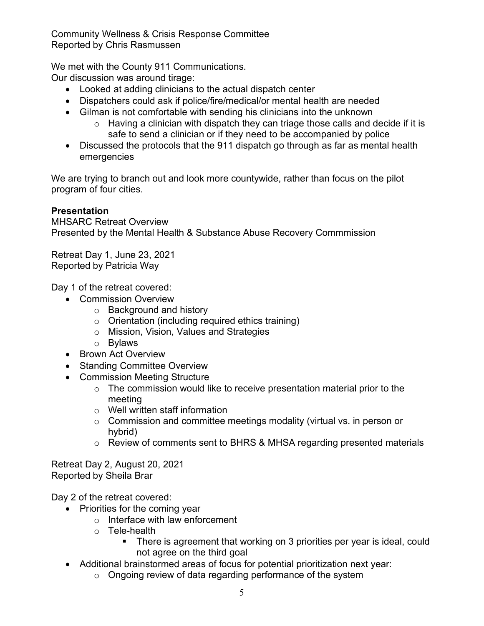Community Wellness & Crisis Response Committee Reported by Chris Rasmussen

We met with the County 911 Communications.

Our discussion was around tirage:

- Looked at adding clinicians to the actual dispatch center
- Dispatchers could ask if police/fire/medical/or mental health are needed
- Gilman is not comfortable with sending his clinicians into the unknown
	- $\circ$  Having a clinician with dispatch they can triage those calls and decide if it is safe to send a clinician or if they need to be accompanied by police
- Discussed the protocols that the 911 dispatch go through as far as mental health emergencies

We are trying to branch out and look more countywide, rather than focus on the pilot program of four cities.

# **Presentation**

MHSARC Retreat Overview Presented by the Mental Health & Substance Abuse Recovery Commmission

Retreat Day 1, June 23, 2021 Reported by Patricia Way

Day 1 of the retreat covered:

- Commission Overview
	- o Background and history
	- o Orientation (including required ethics training)
	- o Mission, Vision, Values and Strategies
	- o Bylaws
- Brown Act Overview
- Standing Committee Overview
- Commission Meeting Structure
	- o The commission would like to receive presentation material prior to the meeting
	- o Well written staff information
	- o Commission and committee meetings modality (virtual vs. in person or hybrid)
	- o Review of comments sent to BHRS & MHSA regarding presented materials

Retreat Day 2, August 20, 2021 Reported by Sheila Brar

Day 2 of the retreat covered:

- Priorities for the coming year
	- $\circ$  Interface with law enforcement
	- o Tele-health
		- There is agreement that working on 3 priorities per year is ideal, could not agree on the third goal
- Additional brainstormed areas of focus for potential prioritization next year:
	- o Ongoing review of data regarding performance of the system